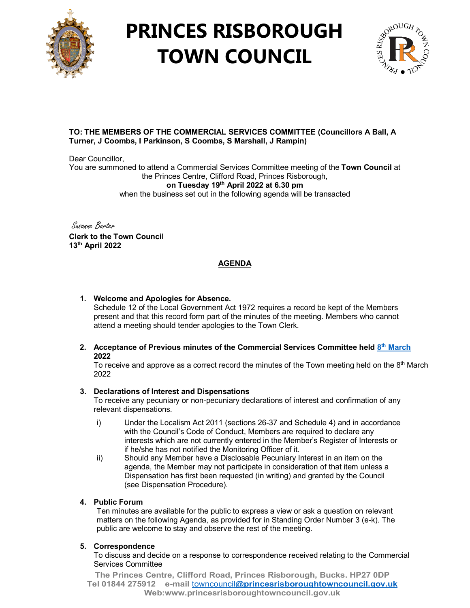

# **PRINCES RISBOROUGH TOWN COUNCIL**



## **TO: THE MEMBERS OF THE COMMERCIAL SERVICES COMMITTEE (Councillors A Ball, A Turner, J Coombs, I Parkinson, S Coombs, S Marshall, J Rampin)**

Dear Councillor. You are summoned to attend a Commercial Services Committee meeting of the **Town Council** at the Princes Centre, Clifford Road, Princes Risborough, **on Tuesday 19th April 2022 at 6.30 pm** when the business set out in the following agenda will be transacted

Susanne Barter **Clerk to the Town Council 13th April 2022**

## **AGENDA**

## **1. Welcome and Apologies for Absence.**

Schedule 12 of the Local Government Act 1972 requires a record be kept of the Members present and that this record form part of the minutes of the meeting. Members who cannot attend a meeting should tender apologies to the Town Clerk.

#### **2. Acceptance of Previous minutes of the Commercial Services Committee held 8th [March](http://www.princesrisboroughtowncouncil.gov.uk/_UserFiles/Files/_Minutes/141939-8th_March_2022_Commercial_Services_Committee_mins.pdf) 2022**

To receive and approve as a correct record the minutes of the Town meeting held on the  $8<sup>th</sup>$  March 2022

### **3. Declarations of Interest and Dispensations**

To receive any pecuniary or non-pecuniary declarations of interest and confirmation of any relevant dispensations.

- i) Under the Localism Act 2011 (sections 26-37 and Schedule 4) and in accordance with the Council's Code of Conduct, Members are required to declare any interests which are not currently entered in the Member's Register of Interests or if he/she has not notified the Monitoring Officer of it.
- ii) Should any Member have a Disclosable Pecuniary Interest in an item on the agenda, the Member may not participate in consideration of that item unless a Dispensation has first been requested (in writing) and granted by the Council (see Dispensation Procedure).

### **4. Public Forum**

Ten minutes are available for the public to express a view or ask a question on relevant matters on the following Agenda, as provided for in Standing Order Number 3 (e-k). The public are welcome to stay and observe the rest of the meeting.

### **5. Correspondence**

To discuss and decide on a response to correspondence received relating to the Commercial Services Committee

**The Princes Centre, Clifford Road, Princes Risborough, Bucks. HP27 0DP Tel 01844 275912 e-mail** towncouncil**[@princesrisboroughtowncouncil.gov.uk](mailto:towncouncil@princesrisboroughtowncouncil.gov.uk) Web:www.princesrisboroughtowncouncil.gov.uk**